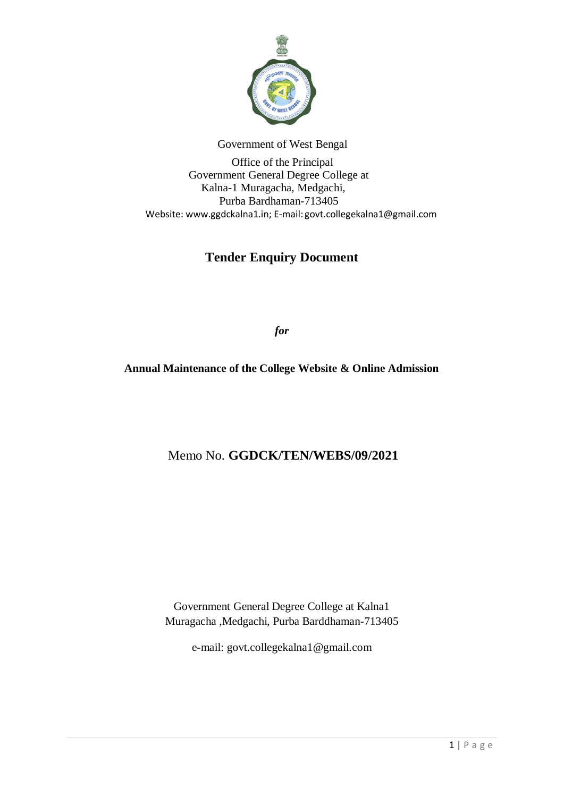

Government of West Bengal

 Office of the Principal Government General Degree College at Kalna-1 Muragacha, Medgachi, Purba Bardhaman-713405 Website: www.ggdckalna1.in; E-mail: [govt.collegekalna1@gmail.com](mailto:govt.collegekalna1@gmail.com)

# **Tender Enquiry Document**

*for*

**Annual Maintenance of the College Website & Online Admission**

Memo No. **GGDCK/TEN/WEBS/09/2021**

Government General Degree College at Kalna1 Muragacha ,Medgachi, Purba Barddhaman-713405

e-mail: govt.collegekalna1@gmail.com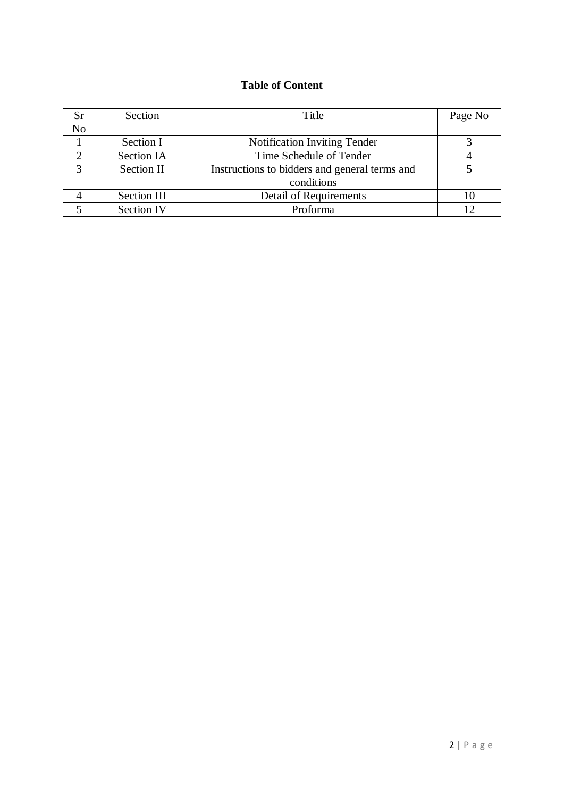# **Table of Content**

| Sr                | Section           | Title                                         | Page No |
|-------------------|-------------------|-----------------------------------------------|---------|
| N <sub>o</sub>    |                   |                                               |         |
|                   | Section I         | <b>Notification Inviting Tender</b>           |         |
|                   | Section IA        | Time Schedule of Tender                       |         |
| $\mathbf{\Omega}$ | Section II        | Instructions to bidders and general terms and |         |
|                   |                   | conditions                                    |         |
|                   | Section III       | <b>Detail of Requirements</b>                 |         |
|                   | <b>Section IV</b> | Proforma                                      |         |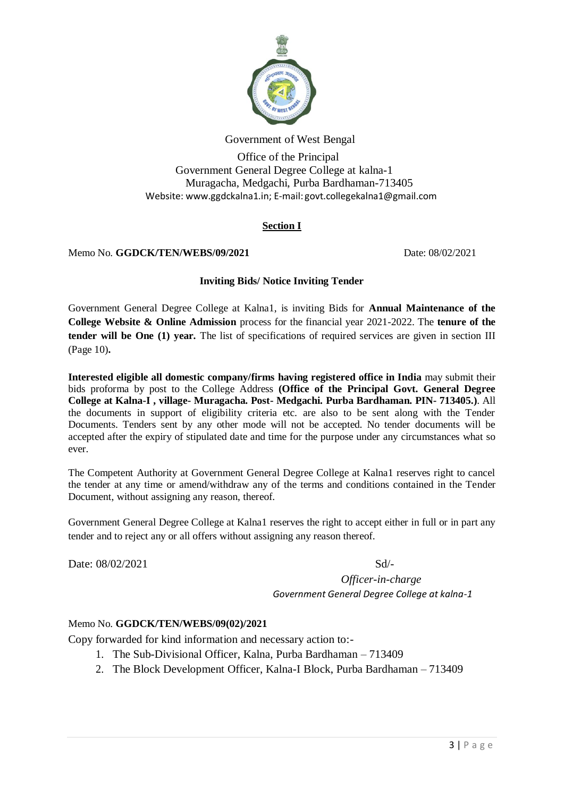

Government of West Bengal

 Office of the Principal Government General Degree College at kalna-1 Muragacha, Medgachi, Purba Bardhaman-713405 Website: www.ggdckalna1.in; E-mail: [govt.collegekalna1@gmail.com](mailto:govt.collegekalna1@gmail.com)

## **Section I**

#### Memo No. **GGDCK/TEN/WEBS/09/2021** Date: 08/02/2021

#### **Inviting Bids/ Notice Inviting Tender**

Government General Degree College at Kalna1, is inviting Bids for **Annual Maintenance of the College Website & Online Admission** process for the financial year 2021-2022. The **tenure of the tender will be One (1) year.** The list of specifications of required services are given in section III (Page 10)**.**

**Interested eligible all domestic company/firms having registered office in India** may submit their bids proforma by post to the College Address **(Office of the Principal Govt. General Degree College at Kalna-I , village- Muragacha. Post- Medgachi. Purba Bardhaman. PIN- 713405.)**. All the documents in support of eligibility criteria etc. are also to be sent along with the Tender Documents. Tenders sent by any other mode will not be accepted. No tender documents will be accepted after the expiry of stipulated date and time for the purpose under any circumstances what so ever.

The Competent Authority at Government General Degree College at Kalna1 reserves right to cancel the tender at any time or amend/withdraw any of the terms and conditions contained in the Tender Document, without assigning any reason, thereof.

Government General Degree College at Kalna1 reserves the right to accept either in full or in part any tender and to reject any or all offers without assigning any reason thereof.

Date:  $08/02/2021$  Sd/-

*Officer-in-charge Government General Degree College at kalna-1*

#### Memo No. **GGDCK/TEN/WEBS/09(02)/2021**

Copy forwarded for kind information and necessary action to:-

- 1. The Sub-Divisional Officer, Kalna, Purba Bardhaman 713409
- 2. The Block Development Officer, Kalna-I Block, Purba Bardhaman 713409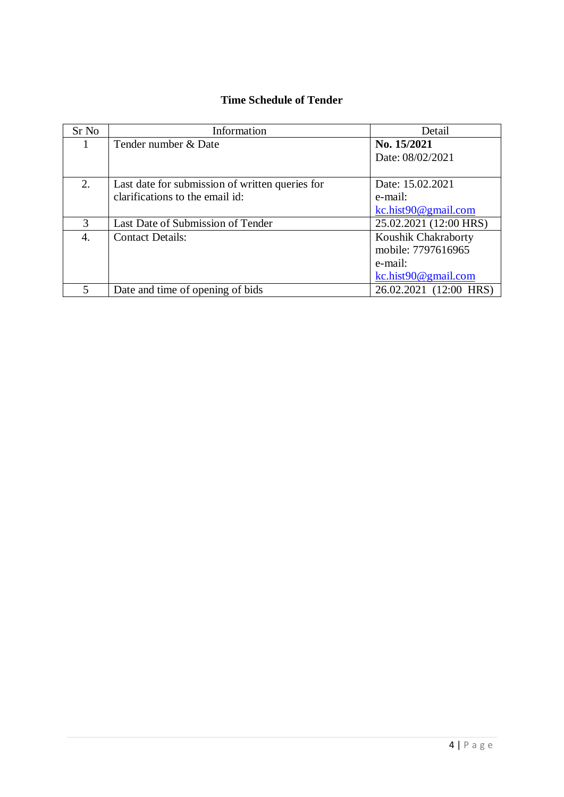# **Time Schedule of Tender**

| Sr No | Information                                     | Detail                 |
|-------|-------------------------------------------------|------------------------|
|       | Tender number & Date                            | No. 15/2021            |
|       |                                                 | Date: 08/02/2021       |
|       |                                                 |                        |
| 2.    | Last date for submission of written queries for | Date: 15.02.2021       |
|       | clarifications to the email id:                 | e-mail:                |
|       |                                                 | kc.hist90@gmail.com    |
| 3     | Last Date of Submission of Tender               | 25.02.2021 (12:00 HRS) |
| 4.    | <b>Contact Details:</b>                         | Koushik Chakraborty    |
|       |                                                 | mobile: 7797616965     |
|       |                                                 | e-mail:                |
|       |                                                 | kc.hist90@gmail.com    |
| 5     | Date and time of opening of bids                | 26.02.2021 (12:00 HRS) |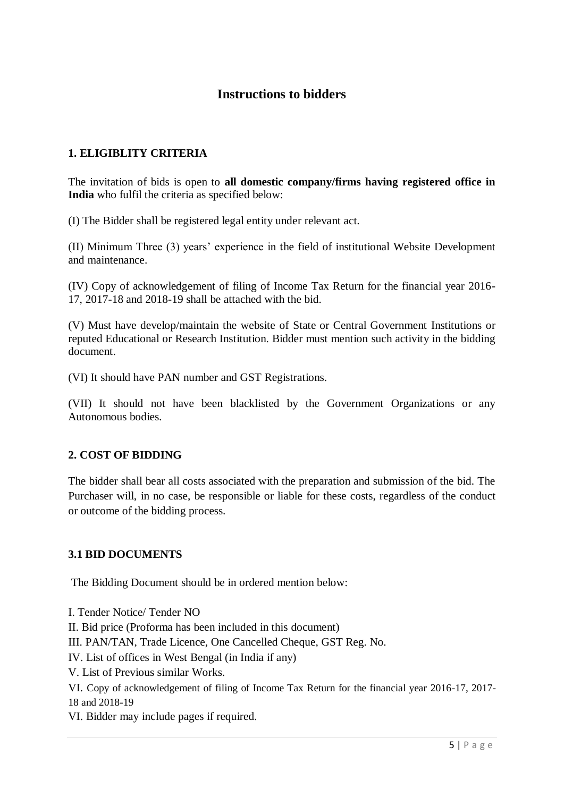# **Instructions to bidders**

## **1. ELIGIBLITY CRITERIA**

The invitation of bids is open to **all domestic company/firms having registered office in India** who fulfil the criteria as specified below:

(I) The Bidder shall be registered legal entity under relevant act.

(II) Minimum Three (3) years' experience in the field of institutional Website Development and maintenance.

(IV) Copy of acknowledgement of filing of Income Tax Return for the financial year 2016- 17, 2017-18 and 2018-19 shall be attached with the bid.

(V) Must have develop/maintain the website of State or Central Government Institutions or reputed Educational or Research Institution. Bidder must mention such activity in the bidding document.

(VI) It should have PAN number and GST Registrations.

(VII) It should not have been blacklisted by the Government Organizations or any Autonomous bodies.

## **2. COST OF BIDDING**

The bidder shall bear all costs associated with the preparation and submission of the bid. The Purchaser will, in no case, be responsible or liable for these costs, regardless of the conduct or outcome of the bidding process.

## **3.1 BID DOCUMENTS**

The Bidding Document should be in ordered mention below:

I. Tender Notice/ Tender NO II. Bid price (Proforma has been included in this document) III. PAN/TAN, Trade Licence, One Cancelled Cheque, GST Reg. No. IV. List of offices in West Bengal (in India if any) V. List of Previous similar Works. VI. Copy of acknowledgement of filing of Income Tax Return for the financial year 2016-17, 2017- 18 and 2018-19 VI. Bidder may include pages if required.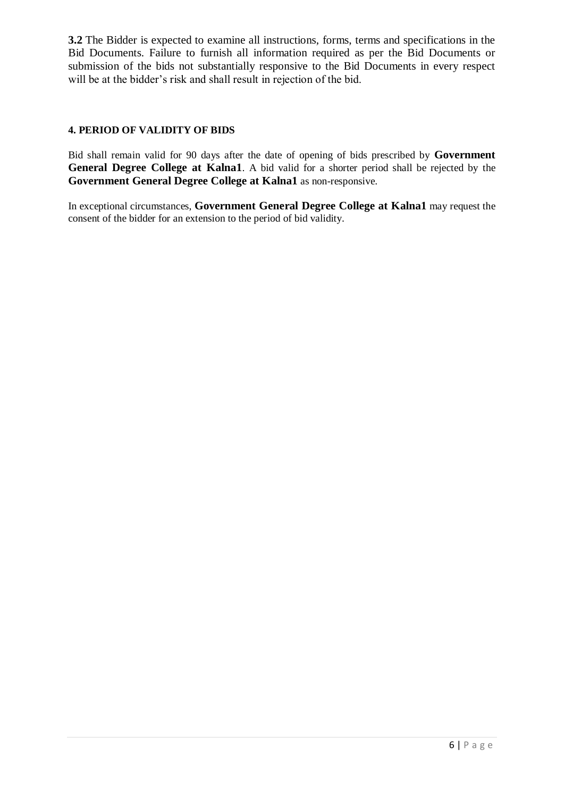**3.2** The Bidder is expected to examine all instructions, forms, terms and specifications in the Bid Documents. Failure to furnish all information required as per the Bid Documents or submission of the bids not substantially responsive to the Bid Documents in every respect will be at the bidder's risk and shall result in rejection of the bid.

## **4. PERIOD OF VALIDITY OF BIDS**

Bid shall remain valid for 90 days after the date of opening of bids prescribed by **Government General Degree College at Kalna1**. A bid valid for a shorter period shall be rejected by the **Government General Degree College at Kalna1** as non-responsive.

In exceptional circumstances, **Government General Degree College at Kalna1** may request the consent of the bidder for an extension to the period of bid validity.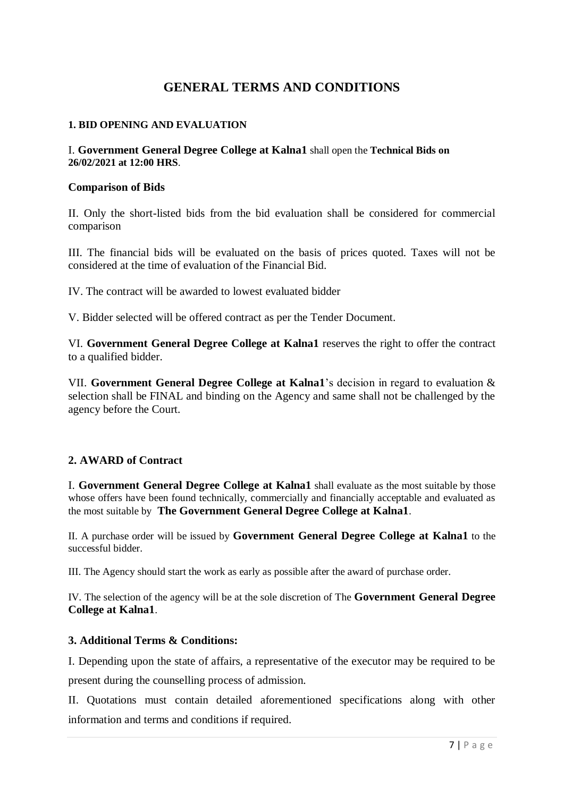# **GENERAL TERMS AND CONDITIONS**

#### **1. BID OPENING AND EVALUATION**

#### I. **Government General Degree College at Kalna1** shall open the **Technical Bids on 26/02/2021 at 12:00 HRS**.

#### **Comparison of Bids**

II. Only the short-listed bids from the bid evaluation shall be considered for commercial comparison

III. The financial bids will be evaluated on the basis of prices quoted. Taxes will not be considered at the time of evaluation of the Financial Bid.

IV. The contract will be awarded to lowest evaluated bidder

V. Bidder selected will be offered contract as per the Tender Document.

VI. **Government General Degree College at Kalna1** reserves the right to offer the contract to a qualified bidder.

VII. **Government General Degree College at Kalna1**'s decision in regard to evaluation & selection shall be FINAL and binding on the Agency and same shall not be challenged by the agency before the Court.

## **2. AWARD of Contract**

I. **Government General Degree College at Kalna1** shall evaluate as the most suitable by those whose offers have been found technically, commercially and financially acceptable and evaluated as the most suitable by **The Government General Degree College at Kalna1**.

II. A purchase order will be issued by **Government General Degree College at Kalna1** to the successful bidder.

III. The Agency should start the work as early as possible after the award of purchase order.

IV. The selection of the agency will be at the sole discretion of The **Government General Degree College at Kalna1**.

## **3. Additional Terms & Conditions:**

I. Depending upon the state of affairs, a representative of the executor may be required to be present during the counselling process of admission.

II. Quotations must contain detailed aforementioned specifications along with other information and terms and conditions if required.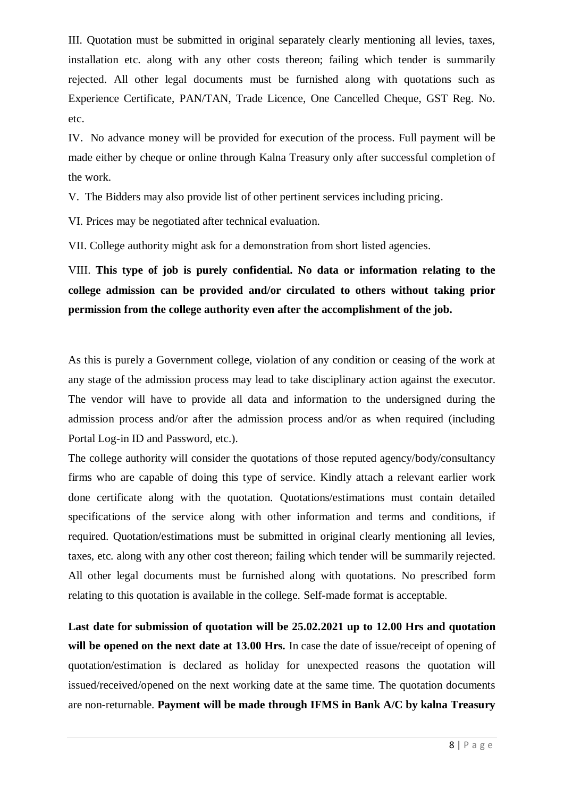III. Quotation must be submitted in original separately clearly mentioning all levies, taxes, installation etc. along with any other costs thereon; failing which tender is summarily rejected. All other legal documents must be furnished along with quotations such as Experience Certificate, PAN/TAN, Trade Licence, One Cancelled Cheque, GST Reg. No. etc.

IV. No advance money will be provided for execution of the process. Full payment will be made either by cheque or online through Kalna Treasury only after successful completion of the work.

V. The Bidders may also provide list of other pertinent services including pricing.

VI. Prices may be negotiated after technical evaluation.

VII. College authority might ask for a demonstration from short listed agencies.

VIII. **This type of job is purely confidential. No data or information relating to the college admission can be provided and/or circulated to others without taking prior permission from the college authority even after the accomplishment of the job.**

As this is purely a Government college, violation of any condition or ceasing of the work at any stage of the admission process may lead to take disciplinary action against the executor. The vendor will have to provide all data and information to the undersigned during the admission process and/or after the admission process and/or as when required (including Portal Log-in ID and Password, etc.).

The college authority will consider the quotations of those reputed agency/body/consultancy firms who are capable of doing this type of service. Kindly attach a relevant earlier work done certificate along with the quotation. Quotations/estimations must contain detailed specifications of the service along with other information and terms and conditions, if required. Quotation/estimations must be submitted in original clearly mentioning all levies, taxes, etc. along with any other cost thereon; failing which tender will be summarily rejected. All other legal documents must be furnished along with quotations. No prescribed form relating to this quotation is available in the college. Self-made format is acceptable.

**Last date for submission of quotation will be 25.02.2021 up to 12.00 Hrs and quotation will be opened on the next date at 13.00 Hrs.** In case the date of issue/receipt of opening of quotation/estimation is declared as holiday for unexpected reasons the quotation will issued/received/opened on the next working date at the same time. The quotation documents are non-returnable. **Payment will be made through IFMS in Bank A/C by kalna Treasury**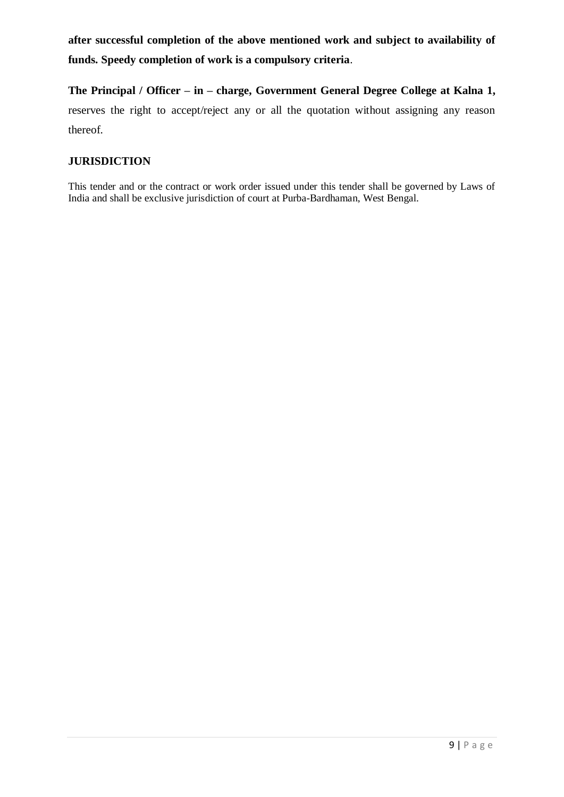**after successful completion of the above mentioned work and subject to availability of funds. Speedy completion of work is a compulsory criteria**.

**The Principal / Officer – in – charge, Government General Degree College at Kalna 1,** reserves the right to accept/reject any or all the quotation without assigning any reason thereof.

## **JURISDICTION**

This tender and or the contract or work order issued under this tender shall be governed by Laws of India and shall be exclusive jurisdiction of court at Purba-Bardhaman, West Bengal.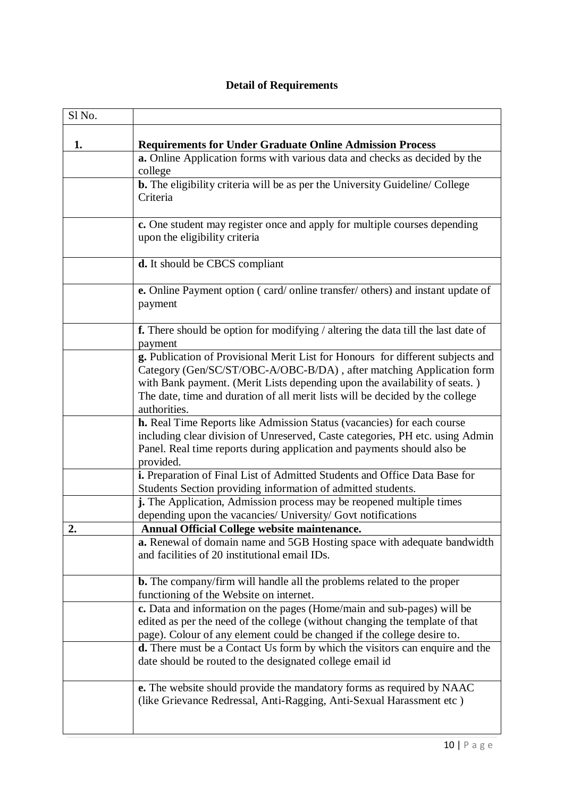# **Detail of Requirements**

| Sl No. |                                                                                                                                                                                                                                                                                                                                        |  |  |  |  |
|--------|----------------------------------------------------------------------------------------------------------------------------------------------------------------------------------------------------------------------------------------------------------------------------------------------------------------------------------------|--|--|--|--|
| 1.     | <b>Requirements for Under Graduate Online Admission Process</b>                                                                                                                                                                                                                                                                        |  |  |  |  |
|        | a. Online Application forms with various data and checks as decided by the<br>college                                                                                                                                                                                                                                                  |  |  |  |  |
|        | <b>b.</b> The eligibility criteria will be as per the University Guideline/ College<br>Criteria                                                                                                                                                                                                                                        |  |  |  |  |
|        | c. One student may register once and apply for multiple courses depending<br>upon the eligibility criteria                                                                                                                                                                                                                             |  |  |  |  |
|        | d. It should be CBCS compliant                                                                                                                                                                                                                                                                                                         |  |  |  |  |
|        | e. Online Payment option (card/online transfer/others) and instant update of<br>payment                                                                                                                                                                                                                                                |  |  |  |  |
|        | <b>f.</b> There should be option for modifying / altering the data till the last date of<br>payment                                                                                                                                                                                                                                    |  |  |  |  |
|        | g. Publication of Provisional Merit List for Honours for different subjects and<br>Category (Gen/SC/ST/OBC-A/OBC-B/DA), after matching Application form<br>with Bank payment. (Merit Lists depending upon the availability of seats.)<br>The date, time and duration of all merit lists will be decided by the college<br>authorities. |  |  |  |  |
|        | h. Real Time Reports like Admission Status (vacancies) for each course<br>including clear division of Unreserved, Caste categories, PH etc. using Admin<br>Panel. Real time reports during application and payments should also be<br>provided.                                                                                        |  |  |  |  |
|        | i. Preparation of Final List of Admitted Students and Office Data Base for<br>Students Section providing information of admitted students.                                                                                                                                                                                             |  |  |  |  |
|        | j. The Application, Admission process may be reopened multiple times<br>depending upon the vacancies/ University/ Govt notifications                                                                                                                                                                                                   |  |  |  |  |
| 2      | <b>Annual Official College website maintenance.</b>                                                                                                                                                                                                                                                                                    |  |  |  |  |
|        | a. Renewal of domain name and 5GB Hosting space with adequate bandwidth<br>and facilities of 20 institutional email IDs.                                                                                                                                                                                                               |  |  |  |  |
|        | <b>b.</b> The company/firm will handle all the problems related to the proper<br>functioning of the Website on internet.                                                                                                                                                                                                               |  |  |  |  |
|        | c. Data and information on the pages (Home/main and sub-pages) will be<br>edited as per the need of the college (without changing the template of that<br>page). Colour of any element could be changed if the college desire to.                                                                                                      |  |  |  |  |
|        | <b>d.</b> There must be a Contact Us form by which the visitors can enquire and the<br>date should be routed to the designated college email id                                                                                                                                                                                        |  |  |  |  |
|        | <b>e.</b> The website should provide the mandatory forms as required by NAAC<br>(like Grievance Redressal, Anti-Ragging, Anti-Sexual Harassment etc)                                                                                                                                                                                   |  |  |  |  |
|        | $10$   P a g e                                                                                                                                                                                                                                                                                                                         |  |  |  |  |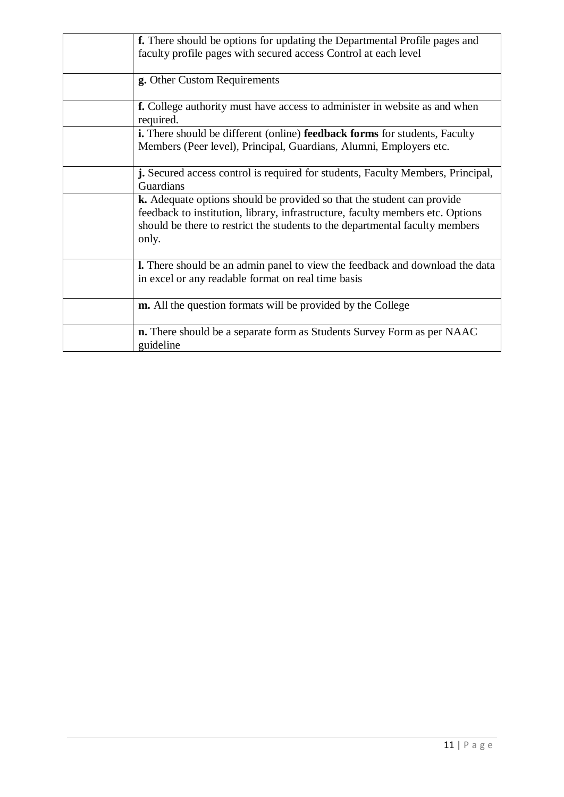| f. There should be options for updating the Departmental Profile pages and                                                                                                                                                                        |  |
|---------------------------------------------------------------------------------------------------------------------------------------------------------------------------------------------------------------------------------------------------|--|
| faculty profile pages with secured access Control at each level                                                                                                                                                                                   |  |
| g. Other Custom Requirements                                                                                                                                                                                                                      |  |
| <b>f.</b> College authority must have access to administer in website as and when<br>required.                                                                                                                                                    |  |
| <b>i.</b> There should be different (online) <b>feedback forms</b> for students, Faculty<br>Members (Peer level), Principal, Guardians, Alumni, Employers etc.                                                                                    |  |
| <b>j.</b> Secured access control is required for students, Faculty Members, Principal,<br>Guardians                                                                                                                                               |  |
| k. Adequate options should be provided so that the student can provide<br>feedback to institution, library, infrastructure, faculty members etc. Options<br>should be there to restrict the students to the departmental faculty members<br>only. |  |
| <b>l.</b> There should be an admin panel to view the feedback and download the data<br>in excel or any readable format on real time basis                                                                                                         |  |
| <b>m.</b> All the question formats will be provided by the College                                                                                                                                                                                |  |
| <b>n.</b> There should be a separate form as Students Survey Form as per NAAC<br>guideline                                                                                                                                                        |  |